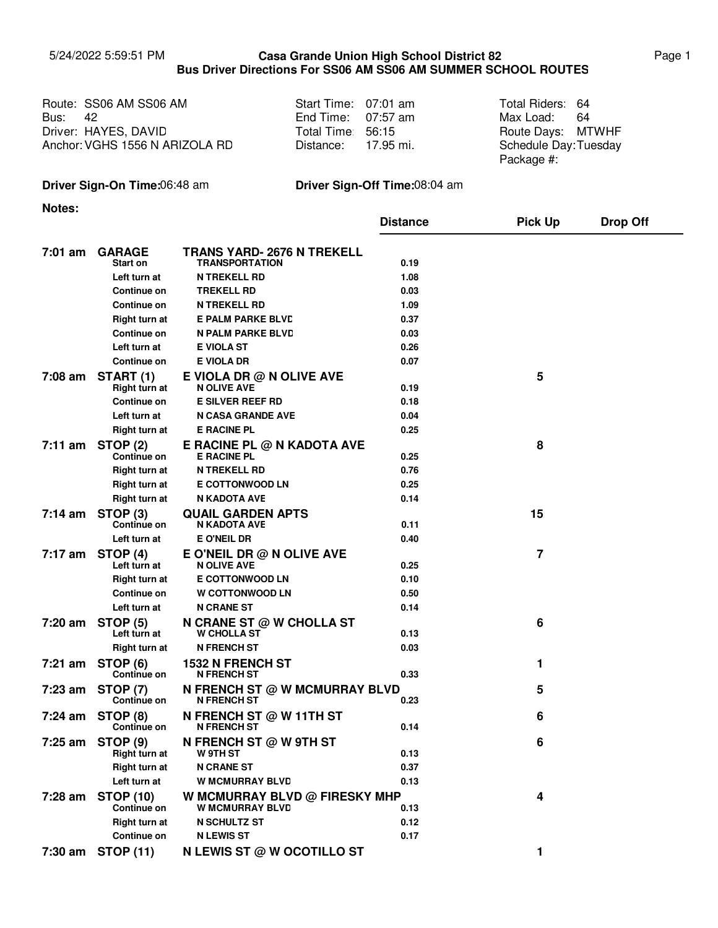## 5/24/2022 5:59:51 PM **Casa Grande Union High School District 82** Page 1 **Bus Driver Directions For SS06 AM SS06 AM SUMMER SCHOOL ROUTES Casa Grande Union High School District 82**

|                | Route: SS06 AM SS06 AM         | Start Time: 07:01 am | Total Riders: 64      |    |
|----------------|--------------------------------|----------------------|-----------------------|----|
| <b>Bus: 42</b> |                                | End Time: $07:57$ am | Max Load:             | 64 |
|                | Driver: HAYES, DAVID           | Total Time 56:15     | Route Days: MTWHF     |    |
|                | Anchor: VGHS 1556 N ARIZOLA RD | Distance: 17.95 mi.  | Schedule Day: Tuesday |    |
|                |                                |                      | Package #:            |    |

## **Driver Sign-On Time:**06:48 am **Driver Sign-Off Time:**08:04 am

**Notes:**

|                   |                                       |                                                         | <b>Distance</b> | <b>Pick Up</b> | <b>Drop Off</b> |
|-------------------|---------------------------------------|---------------------------------------------------------|-----------------|----------------|-----------------|
| $7:01$ am         | <b>GARAGE</b><br>Start on             | TRANS YARD- 2676 N TREKELL<br>TRANSPORTATION            | 0.19            |                |                 |
|                   | Left turn at                          | <b>N TREKELL RD</b>                                     | 1.08            |                |                 |
|                   | Continue on                           | <b>TREKELL RD</b>                                       | 0.03            |                |                 |
|                   | Continue on                           | <b>N TREKELL RD</b>                                     | 1.09            |                |                 |
|                   | Right turn at                         | <b>E PALM PARKE BLVD</b>                                | 0.37            |                |                 |
|                   | Continue on                           | <b>N PALM PARKE BLVD</b>                                | 0.03            |                |                 |
|                   | Left turn at                          | E VIOLA ST                                              | 0.26            |                |                 |
|                   | Continue on                           | E VIOLA DR                                              | 0.07            |                |                 |
| 7:08 am           | <b>START (1)</b><br>Right turn at     | E VIOLA DR $@$ N OLIVE AVE<br><b>N OLIVE AVE</b>        | 0.19            | 5              |                 |
|                   | Continue on                           | <b>E SILVER REEF RD</b>                                 | 0.18            |                |                 |
|                   | Left turn at                          | <b>N CASA GRANDE AVE</b>                                | 0.04            |                |                 |
|                   | Right turn at                         | <b>E RACINE PL</b>                                      | 0.25            |                |                 |
| 7:11 am           | <b>STOP (2)</b><br><b>Continue on</b> | E RACINE PL @ N KADOTA AVE<br><b>E RACINE PL</b>        | 0.25            | 8              |                 |
|                   | Right turn at                         | <b>N TREKELL RD</b>                                     | 0.76            |                |                 |
|                   | Right turn at                         | <b>E COTTONWOOD LN</b>                                  | 0.25            |                |                 |
|                   | <b>Right turn at</b>                  | N KADOTA AVE                                            | 0.14            |                |                 |
| $7:14 \text{ am}$ | STOP (3)<br>Continue on               | <b>QUAIL GARDEN APTS</b><br>N KADOTA AVE                | 0.11            | 15             |                 |
|                   | Left turn at                          | E O'NEIL DR                                             | 0.40            |                |                 |
| 7:17 am           | STOP (4)<br>Left turn at              | E O'NEIL DR $@$ N OLIVE AVE<br><b>N OLIVE AVE</b>       | 0.25            | 7              |                 |
|                   | Right turn at                         | <b>E COTTONWOOD LN</b>                                  | 0.10            |                |                 |
|                   | Continue on                           | <b>W COTTONWOOD LN</b>                                  | 0.50            |                |                 |
|                   | Left turn at                          | <b>N CRANE ST</b>                                       | 0.14            |                |                 |
| 7:20 am           | <b>STOP (5)</b><br>Left turn at       | N CRANE ST $@$ W CHOLLA ST<br><b>W CHOLLA ST</b>        | 0.13            | 6              |                 |
|                   | Right turn at                         | <b>N FRENCH ST</b>                                      | 0.03            |                |                 |
| $7:21$ am         | STOP <sub>(6)</sub><br>Continue on    | <b>1532 N FRENCH ST</b><br><b>N FRENCH ST</b>           | 0.33            | 1              |                 |
| $7:23$ am         | <b>STOP (7)</b><br>Continue on        | N FRENCH ST @ W MCMURRAY BLVD<br><b>N FRENCH ST</b>     | 0.23            | 5              |                 |
| 7:24 am           | STOP (8)<br>Continue on               | N FRENCH ST $@$ W 11TH ST<br><b>N FRENCH ST</b>         | 0.14            | 6              |                 |
|                   | 7:25 am STOP (9)<br>Right turn at     | N FRENCH ST @ W 9TH ST<br>W 9TH ST                      | 0.13            | 6              |                 |
|                   | <b>Right turn at</b><br>Left turn at  | <b>N CRANE ST</b><br><b>W MCMURRAY BLVD</b>             | 0.37<br>0.13    |                |                 |
| 7:28 am           | <b>STOP (10)</b><br>Continue on       | W MCMURRAY BLVD @ FIRESKY MHP<br><b>W MCMURRAY BLVD</b> | 0.13            | 4              |                 |
|                   | Right turn at                         | <b>N SCHULTZ ST</b>                                     | 0.12            |                |                 |
|                   | Continue on                           | <b>N LEWIS ST</b>                                       | 0.17            |                |                 |
|                   | 7:30 am STOP (11)                     | N LEWIS ST @ W OCOTILLO ST                              |                 | 1              |                 |